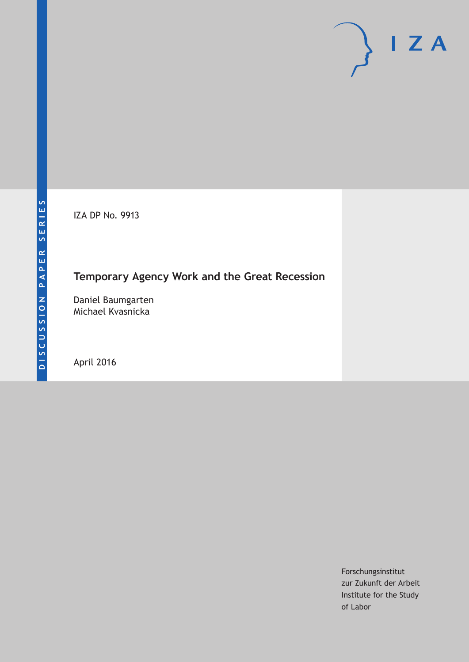IZA DP No. 9913

# **Temporary Agency Work and the Great Recession**

Daniel Baumgarten Michael Kvasnicka

April 2016

Forschungsinstitut zur Zukunft der Arbeit Institute for the Study of Labor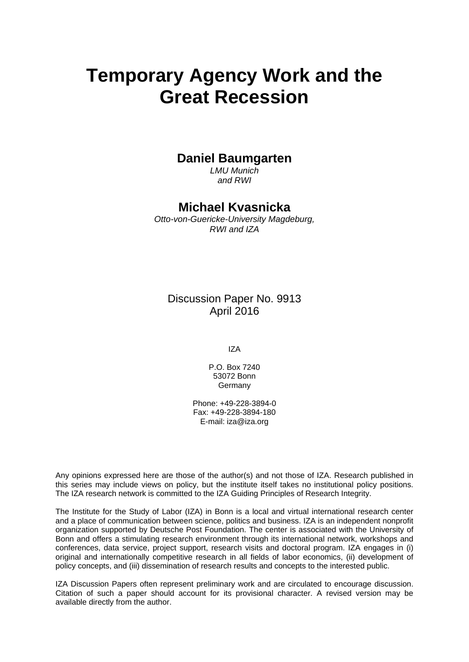# **Temporary Agency Work and the Great Recession**

## **Daniel Baumgarten**

*LMU Munich and RWI* 

### **Michael Kvasnicka**

*Otto-von-Guericke-University Magdeburg, RWI and IZA* 

### Discussion Paper No. 9913 April 2016

IZA

P.O. Box 7240 53072 Bonn Germany

Phone: +49-228-3894-0 Fax: +49-228-3894-180 E-mail: iza@iza.org

Any opinions expressed here are those of the author(s) and not those of IZA. Research published in this series may include views on policy, but the institute itself takes no institutional policy positions. The IZA research network is committed to the IZA Guiding Principles of Research Integrity.

The Institute for the Study of Labor (IZA) in Bonn is a local and virtual international research center and a place of communication between science, politics and business. IZA is an independent nonprofit organization supported by Deutsche Post Foundation. The center is associated with the University of Bonn and offers a stimulating research environment through its international network, workshops and conferences, data service, project support, research visits and doctoral program. IZA engages in (i) original and internationally competitive research in all fields of labor economics, (ii) development of policy concepts, and (iii) dissemination of research results and concepts to the interested public.

IZA Discussion Papers often represent preliminary work and are circulated to encourage discussion. Citation of such a paper should account for its provisional character. A revised version may be available directly from the author.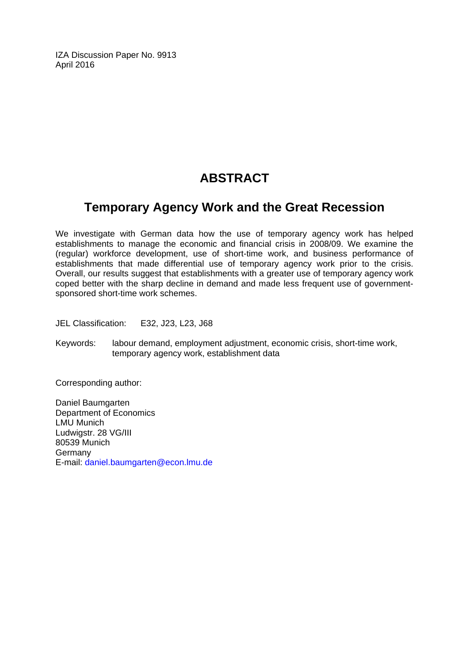IZA Discussion Paper No. 9913 April 2016

# **ABSTRACT**

# **Temporary Agency Work and the Great Recession**

We investigate with German data how the use of temporary agency work has helped establishments to manage the economic and financial crisis in 2008/09. We examine the (regular) workforce development, use of short-time work, and business performance of establishments that made differential use of temporary agency work prior to the crisis. Overall, our results suggest that establishments with a greater use of temporary agency work coped better with the sharp decline in demand and made less frequent use of governmentsponsored short-time work schemes.

JEL Classification: E32, J23, L23, J68

Keywords: labour demand, employment adjustment, economic crisis, short-time work, temporary agency work, establishment data

Corresponding author:

Daniel Baumgarten Department of Economics LMU Munich Ludwigstr. 28 VG/III 80539 Munich Germany E-mail: daniel.baumgarten@econ.lmu.de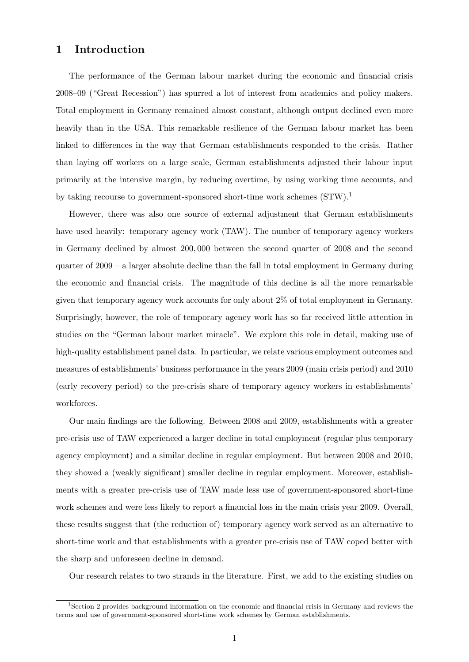#### 1 Introduction

The performance of the German labour market during the economic and financial crisis 2008–09 ("Great Recession") has spurred a lot of interest from academics and policy makers. Total employment in Germany remained almost constant, although output declined even more heavily than in the USA. This remarkable resilience of the German labour market has been linked to differences in the way that German establishments responded to the crisis. Rather than laying off workers on a large scale, German establishments adjusted their labour input primarily at the intensive margin, by reducing overtime, by using working time accounts, and by taking recourse to government-sponsored short-time work schemes  $(STW).<sup>1</sup>$  $(STW).<sup>1</sup>$  $(STW).<sup>1</sup>$ 

However, there was also one source of external adjustment that German establishments have used heavily: temporary agency work (TAW). The number of temporary agency workers in Germany declined by almost 200, 000 between the second quarter of 2008 and the second quarter of 2009 – a larger absolute decline than the fall in total employment in Germany during the economic and financial crisis. The magnitude of this decline is all the more remarkable given that temporary agency work accounts for only about 2% of total employment in Germany. Surprisingly, however, the role of temporary agency work has so far received little attention in studies on the "German labour market miracle". We explore this role in detail, making use of high-quality establishment panel data. In particular, we relate various employment outcomes and measures of establishments' business performance in the years 2009 (main crisis period) and 2010 (early recovery period) to the pre-crisis share of temporary agency workers in establishments' workforces.

Our main findings are the following. Between 2008 and 2009, establishments with a greater pre-crisis use of TAW experienced a larger decline in total employment (regular plus temporary agency employment) and a similar decline in regular employment. But between 2008 and 2010, they showed a (weakly significant) smaller decline in regular employment. Moreover, establishments with a greater pre-crisis use of TAW made less use of government-sponsored short-time work schemes and were less likely to report a financial loss in the main crisis year 2009. Overall, these results suggest that (the reduction of) temporary agency work served as an alternative to short-time work and that establishments with a greater pre-crisis use of TAW coped better with the sharp and unforeseen decline in demand.

Our research relates to two strands in the literature. First, we add to the existing studies on

<span id="page-3-0"></span><sup>&</sup>lt;sup>1</sup>Section [2](#page-4-0) provides background information on the economic and financial crisis in Germany and reviews the terms and use of government-sponsored short-time work schemes by German establishments.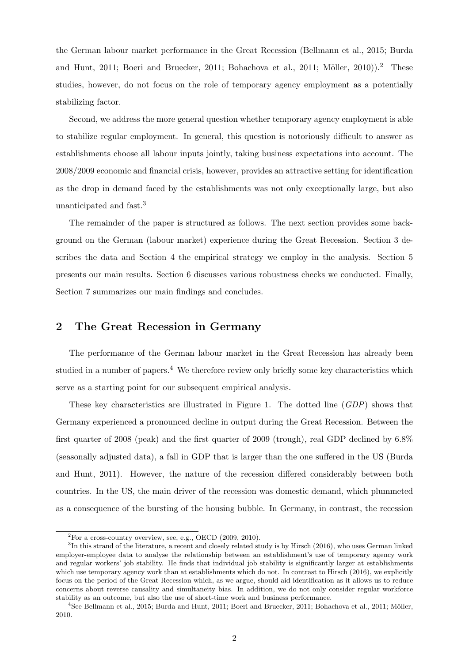the German labour market performance in the Great Recession [\(Bellmann et al., 2015;](#page-24-0) [Burda](#page-24-1) [and Hunt, 2011;](#page-24-1) [Boeri and Bruecker, 2011;](#page-24-2) [Bohachova et al., 2011;](#page-24-3) Möller, [2](#page-4-1)010)).<sup>2</sup> These studies, however, do not focus on the role of temporary agency employment as a potentially stabilizing factor.

Second, we address the more general question whether temporary agency employment is able to stabilize regular employment. In general, this question is notoriously difficult to answer as establishments choose all labour inputs jointly, taking business expectations into account. The 2008/2009 economic and financial crisis, however, provides an attractive setting for identification as the drop in demand faced by the establishments was not only exceptionally large, but also unanticipated and fast.[3](#page-4-2)

The remainder of the paper is structured as follows. The next section provides some background on the German (labour market) experience during the Great Recession. Section [3](#page-7-0) describes the data and Section [4](#page-9-0) the empirical strategy we employ in the analysis. Section [5](#page-11-0) presents our main results. Section [6](#page-16-0) discusses various robustness checks we conducted. Finally, Section [7](#page-20-0) summarizes our main findings and concludes.

### <span id="page-4-0"></span>2 The Great Recession in Germany

The performance of the German labour market in the Great Recession has already been studied in a number of papers.[4](#page-4-3) We therefore review only briefly some key characteristics which serve as a starting point for our subsequent empirical analysis.

These key characteristics are illustrated in Figure [1.](#page-5-0) The dotted line (GDP) shows that Germany experienced a pronounced decline in output during the Great Recession. Between the first quarter of 2008 (peak) and the first quarter of 2009 (trough), real GDP declined by 6.8% (seasonally adjusted data), a fall in GDP that is larger than the one suffered in the US [\(Burda](#page-24-1) [and Hunt, 2011\)](#page-24-1). However, the nature of the recession differed considerably between both countries. In the US, the main driver of the recession was domestic demand, which plummeted as a consequence of the bursting of the housing bubble. In Germany, in contrast, the recession

<span id="page-4-2"></span><span id="page-4-1"></span> $2^2$ For a cross-country overview, see, e.g., [OECD](#page-24-5) [\(2009,](#page-24-5) [2010\)](#page-24-6).

 ${}^{3}$ In this strand of the literature, a recent and closely related study is by [Hirsch](#page-24-7) [\(2016\)](#page-24-7), who uses German linked employer-employee data to analyse the relationship between an establishment's use of temporary agency work and regular workers' job stability. He finds that individual job stability is significantly larger at establishments which use temporary agency work than at establishments which do not. In contrast to [Hirsch](#page-24-7) [\(2016\)](#page-24-7), we explicitly focus on the period of the Great Recession which, as we argue, should aid identification as it allows us to reduce concerns about reverse causality and simultaneity bias. In addition, we do not only consider regular workforce stability as an outcome, but also the use of short-time work and business performance.

<span id="page-4-3"></span><sup>&</sup>lt;sup>4</sup>See [Bellmann et al., 2015;](#page-24-0) [Burda and Hunt, 2011;](#page-24-1) [Boeri and Bruecker, 2011;](#page-24-2) [Bohachova et al., 2011;](#page-24-3) Möller, [2010.](#page-24-4)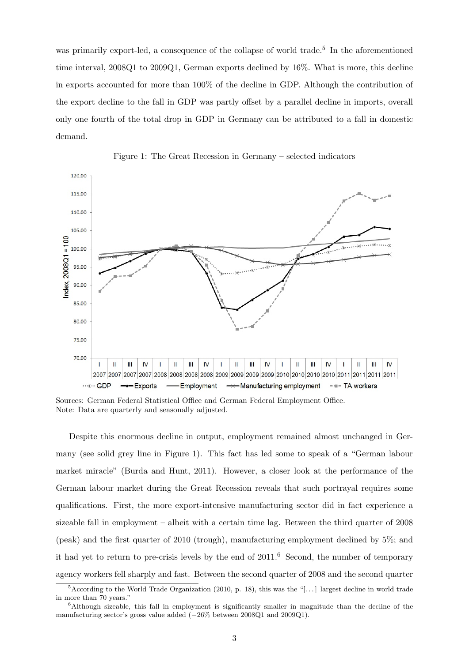was primarily export-led, a consequence of the collapse of world trade.<sup>[5](#page-5-1)</sup> In the aforementioned time interval, 2008Q1 to 2009Q1, German exports declined by 16%. What is more, this decline in exports accounted for more than 100% of the decline in GDP. Although the contribution of the export decline to the fall in GDP was partly offset by a parallel decline in imports, overall only one fourth of the total drop in GDP in Germany can be attributed to a fall in domestic demand.

<span id="page-5-0"></span>



Sources: German Federal Statistical Office and German Federal Employment Office. Note: Data are quarterly and seasonally adjusted.

Despite this enormous decline in output, employment remained almost unchanged in Germany (see solid grey line in Figure [1\)](#page-5-0). This fact has led some to speak of a "German labour market miracle" [\(Burda and Hunt, 2011\)](#page-24-1). However, a closer look at the performance of the German labour market during the Great Recession reveals that such portrayal requires some qualifications. First, the more export-intensive manufacturing sector did in fact experience a sizeable fall in employment – albeit with a certain time lag. Between the third quarter of 2008 (peak) and the first quarter of 2010 (trough), manufacturing employment declined by 5%; and it had yet to return to pre-crisis levels by the end of  $2011<sup>6</sup>$  $2011<sup>6</sup>$  $2011<sup>6</sup>$  Second, the number of temporary agency workers fell sharply and fast. Between the second quarter of 2008 and the second quarter

<span id="page-5-1"></span> $5$ According to the [World Trade Organization](#page-25-0) [\(2010,](#page-25-0) p. 18), this was the "[...] largest decline in world trade in more than 70 years."

<span id="page-5-2"></span><sup>&</sup>lt;sup>6</sup>Although sizeable, this fall in employment is significantly smaller in magnitude than the decline of the manufacturing sector's gross value added (−26% between 2008Q1 and 2009Q1).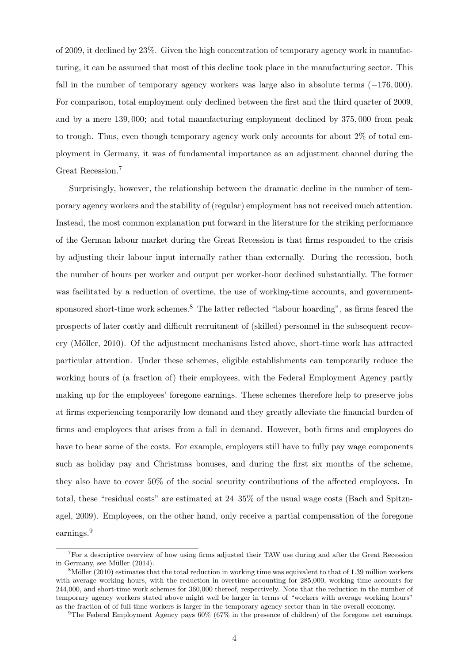of 2009, it declined by 23%. Given the high concentration of temporary agency work in manufacturing, it can be assumed that most of this decline took place in the manufacturing sector. This fall in the number of temporary agency workers was large also in absolute terms (−176, 000). For comparison, total employment only declined between the first and the third quarter of 2009, and by a mere 139, 000; and total manufacturing employment declined by 375, 000 from peak to trough. Thus, even though temporary agency work only accounts for about 2% of total employment in Germany, it was of fundamental importance as an adjustment channel during the Great Recession.[7](#page-6-0)

Surprisingly, however, the relationship between the dramatic decline in the number of temporary agency workers and the stability of (regular) employment has not received much attention. Instead, the most common explanation put forward in the literature for the striking performance of the German labour market during the Great Recession is that firms responded to the crisis by adjusting their labour input internally rather than externally. During the recession, both the number of hours per worker and output per worker-hour declined substantially. The former was facilitated by a reduction of overtime, the use of working-time accounts, and government-sponsored short-time work schemes.<sup>[8](#page-6-1)</sup> The latter reflected "labour hoarding", as firms feared the prospects of later costly and difficult recruitment of (skilled) personnel in the subsequent recovery (Möller, 2010). Of the adjustment mechanisms listed above, short-time work has attracted particular attention. Under these schemes, eligible establishments can temporarily reduce the working hours of (a fraction of) their employees, with the Federal Employment Agency partly making up for the employees' foregone earnings. These schemes therefore help to preserve jobs at firms experiencing temporarily low demand and they greatly alleviate the financial burden of firms and employees that arises from a fall in demand. However, both firms and employees do have to bear some of the costs. For example, employers still have to fully pay wage components such as holiday pay and Christmas bonuses, and during the first six months of the scheme, they also have to cover 50% of the social security contributions of the affected employees. In total, these "residual costs" are estimated at 24–35% of the usual wage costs [\(Bach and Spitzn](#page-24-8)[agel, 2009\)](#page-24-8). Employees, on the other hand, only receive a partial compensation of the foregone earnings.[9](#page-6-2)

<span id="page-6-0"></span><sup>&</sup>lt;sup>7</sup>For a descriptive overview of how using firms adjusted their TAW use during and after the Great Recession in Germany, see Müller [\(2014\)](#page-24-9).

<span id="page-6-1"></span> $8$ Möller [\(2010\)](#page-24-4) estimates that the total reduction in working time was equivalent to that of 1.39 million workers with average working hours, with the reduction in overtime accounting for 285,000, working time accounts for 244,000, and short-time work schemes for 360,000 thereof, respectively. Note that the reduction in the number of temporary agency workers stated above might well be larger in terms of "workers with average working hours" as the fraction of of full-time workers is larger in the temporary agency sector than in the overall economy.

<span id="page-6-2"></span><sup>&</sup>lt;sup>9</sup>The Federal Employment Agency pays  $60\%$  (67% in the presence of children) of the foregone net earnings.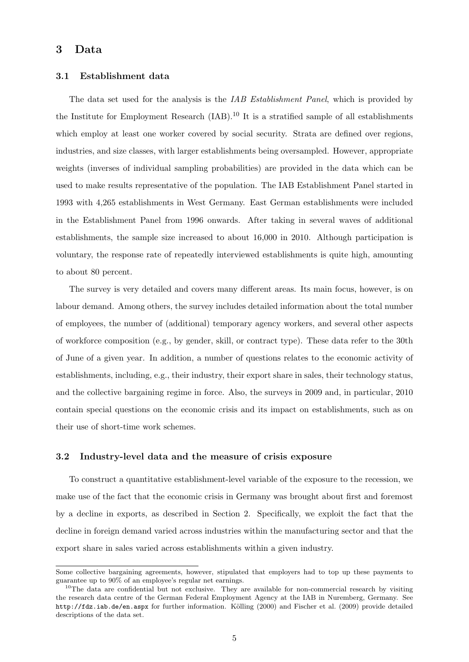### <span id="page-7-0"></span>3 Data

#### 3.1 Establishment data

The data set used for the analysis is the *IAB Establishment Panel*, which is provided by the Institute for Employment Research (IAB).[10](#page-7-1) It is a stratified sample of all establishments which employ at least one worker covered by social security. Strata are defined over regions, industries, and size classes, with larger establishments being oversampled. However, appropriate weights (inverses of individual sampling probabilities) are provided in the data which can be used to make results representative of the population. The IAB Establishment Panel started in 1993 with 4,265 establishments in West Germany. East German establishments were included in the Establishment Panel from 1996 onwards. After taking in several waves of additional establishments, the sample size increased to about 16,000 in 2010. Although participation is voluntary, the response rate of repeatedly interviewed establishments is quite high, amounting to about 80 percent.

The survey is very detailed and covers many different areas. Its main focus, however, is on labour demand. Among others, the survey includes detailed information about the total number of employees, the number of (additional) temporary agency workers, and several other aspects of workforce composition (e.g., by gender, skill, or contract type). These data refer to the 30th of June of a given year. In addition, a number of questions relates to the economic activity of establishments, including, e.g., their industry, their export share in sales, their technology status, and the collective bargaining regime in force. Also, the surveys in 2009 and, in particular, 2010 contain special questions on the economic crisis and its impact on establishments, such as on their use of short-time work schemes.

#### 3.2 Industry-level data and the measure of crisis exposure

To construct a quantitative establishment-level variable of the exposure to the recession, we make use of the fact that the economic crisis in Germany was brought about first and foremost by a decline in exports, as described in Section [2.](#page-4-0) Specifically, we exploit the fact that the decline in foreign demand varied across industries within the manufacturing sector and that the export share in sales varied across establishments within a given industry.

Some collective bargaining agreements, however, stipulated that employers had to top up these payments to guarantee up to 90% of an employee's regular net earnings.

<span id="page-7-1"></span> $10$ The data are confidential but not exclusive. They are available for non-commercial research by visiting the research data centre of the German Federal Employment Agency at the IAB in Nuremberg, Germany. See <http://fdz.iab.de/en.aspx> for further information. Kölling [\(2000\)](#page-24-10) and [Fischer et al.](#page-24-11) [\(2009\)](#page-24-11) provide detailed descriptions of the data set.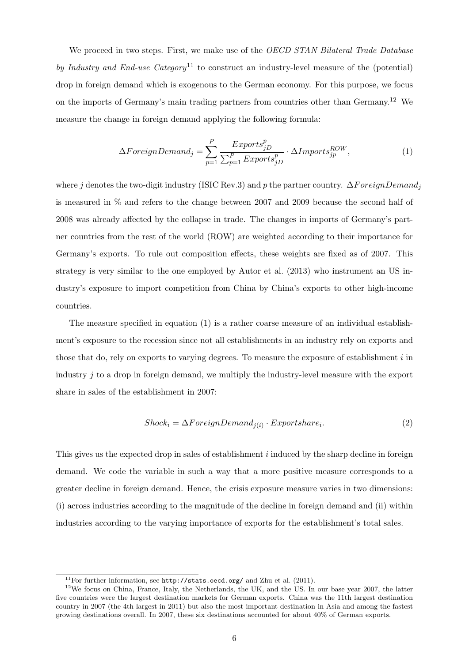We proceed in two steps. First, we make use of the *OECD STAN Bilateral Trade Database* by Industry and End-use Category<sup>[11](#page-8-0)</sup> to construct an industry-level measure of the (potential) drop in foreign demand which is exogenous to the German economy. For this purpose, we focus on the imports of Germany's main trading partners from countries other than Germany.<sup>[12](#page-8-1)</sup> We measure the change in foreign demand applying the following formula:

<span id="page-8-2"></span>
$$
\Delta Foreign Demand_j = \sum_{p=1}^{P} \frac{Express_{jD}^p}{\sum_{p=1}^{P} Exports_{jD}^p} \cdot \Delta Imports_{jp}^{ROW}, \qquad (1)
$$

where j denotes the two-digit industry (ISIC Rev.3) and p the partner country.  $\Delta F$  or eignDemand<sub>i</sub> is measured in % and refers to the change between 2007 and 2009 because the second half of 2008 was already affected by the collapse in trade. The changes in imports of Germany's partner countries from the rest of the world (ROW) are weighted according to their importance for Germany's exports. To rule out composition effects, these weights are fixed as of 2007. This strategy is very similar to the one employed by [Autor et al.](#page-24-12) [\(2013\)](#page-24-12) who instrument an US industry's exposure to import competition from China by China's exports to other high-income countries.

The measure specified in equation [\(1\)](#page-8-2) is a rather coarse measure of an individual establishment's exposure to the recession since not all establishments in an industry rely on exports and those that do, rely on exports to varying degrees. To measure the exposure of establishment  $i$  in industry *i* to a drop in foreign demand, we multiply the industry-level measure with the export share in sales of the establishment in 2007:

$$
Shock_i = \Delta Foreign Demand_{j(i)} \cdot Exportshare_i. \tag{2}
$$

This gives us the expected drop in sales of establishment *i* induced by the sharp decline in foreign demand. We code the variable in such a way that a more positive measure corresponds to a greater decline in foreign demand. Hence, the crisis exposure measure varies in two dimensions: (i) across industries according to the magnitude of the decline in foreign demand and (ii) within industries according to the varying importance of exports for the establishment's total sales.

<span id="page-8-1"></span><span id="page-8-0"></span><sup>&</sup>lt;sup>11</sup>For further information, see <http://stats.oecd.org/> and [Zhu et al.](#page-25-1) [\(2011\)](#page-25-1).

<sup>&</sup>lt;sup>12</sup>We focus on China, France, Italy, the Netherlands, the UK, and the US. In our base year 2007, the latter five countries were the largest destination markets for German exports. China was the 11th largest destination country in 2007 (the 4th largest in 2011) but also the most important destination in Asia and among the fastest growing destinations overall. In 2007, these six destinations accounted for about 40% of German exports.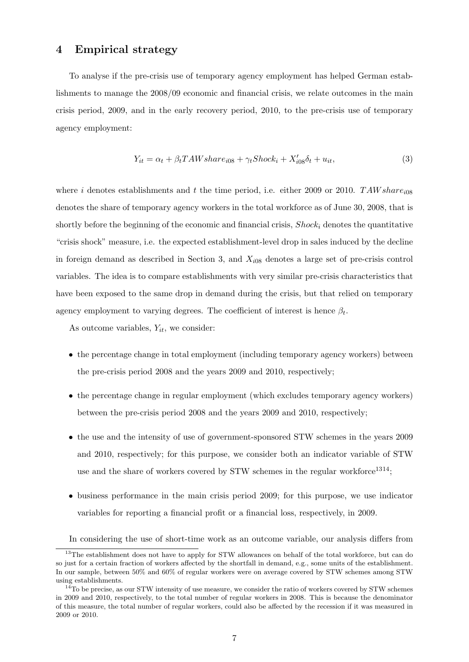### <span id="page-9-0"></span>4 Empirical strategy

To analyse if the pre-crisis use of temporary agency employment has helped German establishments to manage the 2008/09 economic and financial crisis, we relate outcomes in the main crisis period, 2009, and in the early recovery period, 2010, to the pre-crisis use of temporary agency employment:

<span id="page-9-3"></span>
$$
Y_{it} = \alpha_t + \beta_t TAW share_{i08} + \gamma_t Shock_i + X'_{i08} \delta_t + u_{it},\tag{3}
$$

where i denotes establishments and t the time period, i.e. either 2009 or 2010. TAW sharedenotes the share of temporary agency workers in the total workforce as of June 30, 2008, that is shortly before the beginning of the economic and financial crisis,  $Shock_i$  denotes the quantitative "crisis shock" measure, i.e. the expected establishment-level drop in sales induced by the decline in foreign demand as described in Section [3,](#page-7-0) and  $X_{i08}$  denotes a large set of pre-crisis control variables. The idea is to compare establishments with very similar pre-crisis characteristics that have been exposed to the same drop in demand during the crisis, but that relied on temporary agency employment to varying degrees. The coefficient of interest is hence  $\beta_t$ .

As outcome variables,  $Y_{it}$ , we consider:

- the percentage change in total employment (including temporary agency workers) between the pre-crisis period 2008 and the years 2009 and 2010, respectively;
- the percentage change in regular employment (which excludes temporary agency workers) between the pre-crisis period 2008 and the years 2009 and 2010, respectively;
- the use and the intensity of use of government-sponsored STW schemes in the years 2009 and 2010, respectively; for this purpose, we consider both an indicator variable of STW use and the share of workers covered by STW schemes in the regular workforce<sup>[13](#page-9-1)[14](#page-9-2)</sup>;
- business performance in the main crisis period 2009; for this purpose, we use indicator variables for reporting a financial profit or a financial loss, respectively, in 2009.

<span id="page-9-1"></span>In considering the use of short-time work as an outcome variable, our analysis differs from

<sup>&</sup>lt;sup>13</sup>The establishment does not have to apply for STW allowances on behalf of the total workforce, but can do so just for a certain fraction of workers affected by the shortfall in demand, e.g., some units of the establishment. In our sample, between 50% and 60% of regular workers were on average covered by STW schemes among STW using establishments.

<span id="page-9-2"></span> $14$ To be precise, as our STW intensity of use measure, we consider the ratio of workers covered by STW schemes in 2009 and 2010, respectively, to the total number of regular workers in 2008. This is because the denominator of this measure, the total number of regular workers, could also be affected by the recession if it was measured in 2009 or 2010.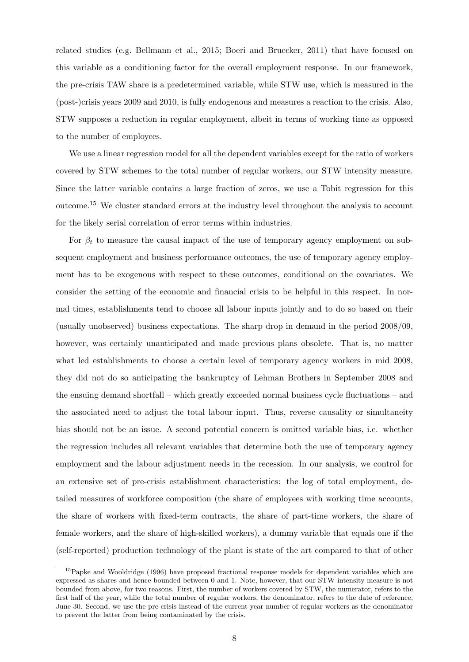related studies (e.g. [Bellmann et al., 2015;](#page-24-0) [Boeri and Bruecker, 2011\)](#page-24-2) that have focused on this variable as a conditioning factor for the overall employment response. In our framework, the pre-crisis TAW share is a predetermined variable, while STW use, which is measured in the (post-)crisis years 2009 and 2010, is fully endogenous and measures a reaction to the crisis. Also, STW supposes a reduction in regular employment, albeit in terms of working time as opposed to the number of employees.

We use a linear regression model for all the dependent variables except for the ratio of workers covered by STW schemes to the total number of regular workers, our STW intensity measure. Since the latter variable contains a large fraction of zeros, we use a Tobit regression for this outcome.[15](#page-10-0) We cluster standard errors at the industry level throughout the analysis to account for the likely serial correlation of error terms within industries.

For  $\beta_t$  to measure the causal impact of the use of temporary agency employment on subsequent employment and business performance outcomes, the use of temporary agency employment has to be exogenous with respect to these outcomes, conditional on the covariates. We consider the setting of the economic and financial crisis to be helpful in this respect. In normal times, establishments tend to choose all labour inputs jointly and to do so based on their (usually unobserved) business expectations. The sharp drop in demand in the period 2008/09, however, was certainly unanticipated and made previous plans obsolete. That is, no matter what led establishments to choose a certain level of temporary agency workers in mid 2008, they did not do so anticipating the bankruptcy of Lehman Brothers in September 2008 and the ensuing demand shortfall – which greatly exceeded normal business cycle fluctuations – and the associated need to adjust the total labour input. Thus, reverse causality or simultaneity bias should not be an issue. A second potential concern is omitted variable bias, i.e. whether the regression includes all relevant variables that determine both the use of temporary agency employment and the labour adjustment needs in the recession. In our analysis, we control for an extensive set of pre-crisis establishment characteristics: the log of total employment, detailed measures of workforce composition (the share of employees with working time accounts, the share of workers with fixed-term contracts, the share of part-time workers, the share of female workers, and the share of high-skilled workers), a dummy variable that equals one if the (self-reported) production technology of the plant is state of the art compared to that of other

<span id="page-10-0"></span><sup>&</sup>lt;sup>15</sup>[Papke and Wooldridge](#page-25-2) [\(1996\)](#page-25-2) have proposed fractional response models for dependent variables which are expressed as shares and hence bounded between 0 and 1. Note, however, that our STW intensity measure is not bounded from above, for two reasons. First, the number of workers covered by STW, the numerator, refers to the first half of the year, while the total number of regular workers, the denominator, refers to the date of reference, June 30. Second, we use the pre-crisis instead of the current-year number of regular workers as the denominator to prevent the latter from being contaminated by the crisis.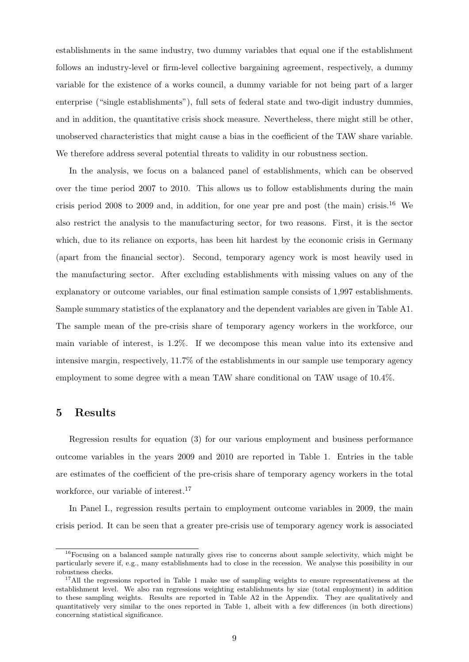establishments in the same industry, two dummy variables that equal one if the establishment follows an industry-level or firm-level collective bargaining agreement, respectively, a dummy variable for the existence of a works council, a dummy variable for not being part of a larger enterprise ("single establishments"), full sets of federal state and two-digit industry dummies, and in addition, the quantitative crisis shock measure. Nevertheless, there might still be other, unobserved characteristics that might cause a bias in the coefficient of the TAW share variable. We therefore address several potential threats to validity in our robustness section.

In the analysis, we focus on a balanced panel of establishments, which can be observed over the time period 2007 to 2010. This allows us to follow establishments during the main crisis period 2008 to 2009 and, in addition, for one year pre and post (the main) crisis.<sup>[16](#page-11-1)</sup> We also restrict the analysis to the manufacturing sector, for two reasons. First, it is the sector which, due to its reliance on exports, has been hit hardest by the economic crisis in Germany (apart from the financial sector). Second, temporary agency work is most heavily used in the manufacturing sector. After excluding establishments with missing values on any of the explanatory or outcome variables, our final estimation sample consists of 1,997 establishments. Sample summary statistics of the explanatory and the dependent variables are given in Table [A1.](#page-22-0) The sample mean of the pre-crisis share of temporary agency workers in the workforce, our main variable of interest, is 1.2%. If we decompose this mean value into its extensive and intensive margin, respectively, 11.7% of the establishments in our sample use temporary agency employment to some degree with a mean TAW share conditional on TAW usage of 10.4%.

#### <span id="page-11-0"></span>5 Results

Regression results for equation [\(3\)](#page-9-3) for our various employment and business performance outcome variables in the years 2009 and 2010 are reported in Table [1.](#page-13-0) Entries in the table are estimates of the coefficient of the pre-crisis share of temporary agency workers in the total workforce, our variable of interest.<sup>[17](#page-11-2)</sup>

In Panel I., regression results pertain to employment outcome variables in 2009, the main crisis period. It can be seen that a greater pre-crisis use of temporary agency work is associated

<span id="page-11-1"></span><sup>&</sup>lt;sup>16</sup>Focusing on a balanced sample naturally gives rise to concerns about sample selectivity, which might be particularly severe if, e.g., many establishments had to close in the recession. We analyse this possibility in our robustness checks.

<span id="page-11-2"></span> $17$ All the regressions reported in Table [1](#page-13-0) make use of sampling weights to ensure representativeness at the establishment level. We also ran regressions weighting establishments by size (total employment) in addition to these sampling weights. Results are reported in Table [A2](#page-23-0) in the Appendix. They are qualitatively and quantitatively very similar to the ones reported in Table [1,](#page-13-0) albeit with a few differences (in both directions) concerning statistical significance.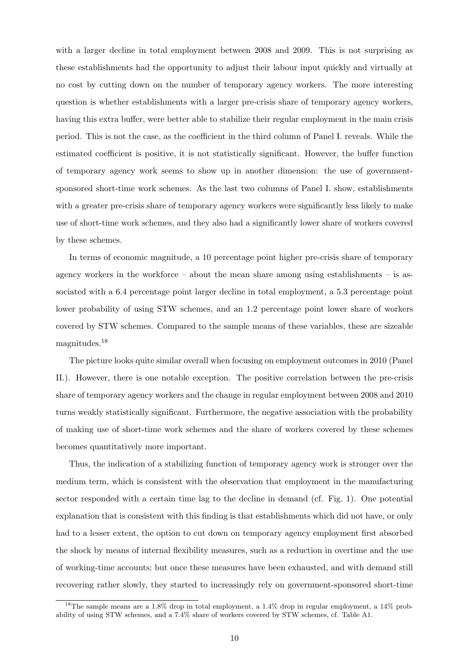with a larger decline in total employment between 2008 and 2009. This is not surprising as these establishments had the opportunity to adjust their labour input quickly and virtually at no cost by cutting down on the number of temporary agency workers. The more interesting question is whether establishments with a larger pre-crisis share of temporary agency workers, having this extra buffer, were better able to stabilize their regular employment in the main crisis period. This is not the case, as the coefficient in the third column of Panel I. reveals. While the estimated coefficient is positive, it is not statistically significant. However, the buffer function of temporary agency work seems to show up in another dimension: the use of governmentsponsored short-time work schemes. As the last two columns of Panel I. show, establishments with a greater pre-crisis share of temporary agency workers were significantly less likely to make use of short-time work schemes, and they also had a significantly lower share of workers covered by these schemes.

In terms of economic magnitude, a 10 percentage point higher pre-crisis share of temporary agency workers in the workforce – about the mean share among using establishments – is associated with a 6.4 percentage point larger decline in total employment, a 5.3 percentage point lower probability of using STW schemes, and an 1.2 percentage point lower share of workers covered by STW schemes. Compared to the sample means of these variables, these are sizeable magnitudes.[18](#page-12-0)

The picture looks quite similar overall when focusing on employment outcomes in 2010 (Panel II.). However, there is one notable exception. The positive correlation between the pre-crisis share of temporary agency workers and the change in regular employment between 2008 and 2010 turns weakly statistically significant. Furthermore, the negative association with the probability of making use of short-time work schemes and the share of workers covered by these schemes becomes quantitatively more important.

Thus, the indication of a stabilizing function of temporary agency work is stronger over the medium term, which is consistent with the observation that employment in the manufacturing sector responded with a certain time lag to the decline in demand (cf. Fig. [1\)](#page-5-0). One potential explanation that is consistent with this finding is that establishments which did not have, or only had to a lesser extent, the option to cut down on temporary agency employment first absorbed the shock by means of internal flexibility measures, such as a reduction in overtime and the use of working-time accounts; but once these measures have been exhausted, and with demand still recovering rather slowly, they started to increasingly rely on government-sponsored short-time

<span id="page-12-0"></span><sup>18</sup>The sample means are a 1.8% drop in total employment, a 1.4% drop in regular employment, a 14% probability of using STW schemes, and a 7.4% share of workers covered by STW schemes, cf. Table [A1.](#page-22-0)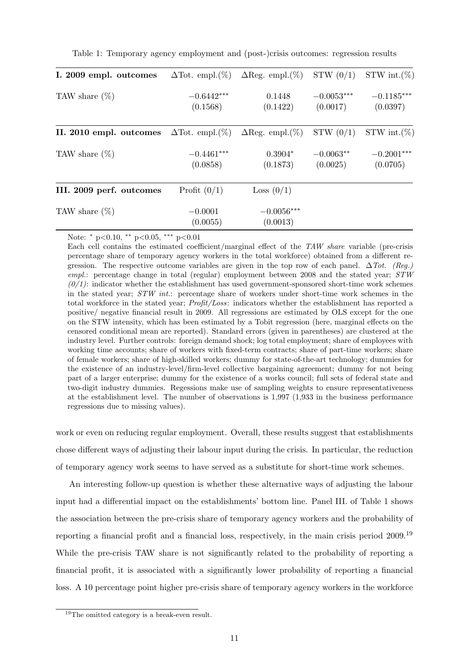| I. 2009 empl. outcomes   | $\Delta$ Tot. empl. $(\%)$ | $\Delta$ Reg. empl. $(\%)$ | STW(0/1)                 | STW int. $(\%)$          |
|--------------------------|----------------------------|----------------------------|--------------------------|--------------------------|
| TAW share $(\%)$         | $-0.6442***$<br>(0.1568)   | 0.1448<br>(0.1422)         | $-0.0053***$<br>(0.0017) | $-0.1185***$<br>(0.0397) |
| II. 2010 empl. outcomes  | $\Delta$ Tot. empl. $(\%)$ | $\Delta$ Reg. empl. $(\%)$ | STW(0/1)                 | STW int. $(\%)$          |
| TAW share $(\%)$         | $-0.4461***$<br>(0.0858)   | $0.3904*$<br>(0.1873)      | $-0.0063**$<br>(0.0025)  | $-0.2001***$<br>(0.0705) |
| III. 2009 perf. outcomes | Profit $(0/1)$             | Loss $(0/1)$               |                          |                          |
| TAW share $(\%)$         | $-0.0001$<br>(0.0055)      | $-0.0056***$<br>(0.0013)   |                          |                          |

<span id="page-13-0"></span>Table 1: Temporary agency employment and (post-)crisis outcomes: regression results

Note: <sup>∗</sup> p<0.10, ∗∗ p<0.05, ∗∗∗ p<0.01

Each cell contains the estimated coefficient/marginal effect of the TAW share variable (pre-crisis percentage share of temporary agency workers in the total workforce) obtained from a different regression. The respective outcome variables are given in the top row of each panel.  $\Delta Tot$ . (Reg.) empl.: percentage change in total (regular) employment between 2008 and the stated year;  $STW$  $(0/1)$ : indicator whether the establishment has used government-sponsored short-time work schemes in the stated year;  $STW$  int.: percentage share of workers under short-time work schemes in the total workforce in the stated year; Profit/Loss: indicators whether the establishment has reported a positive/ negative financial result in 2009. All regressions are estimated by OLS except for the one on the STW intensity, which has been estimated by a Tobit regression (here, marginal effects on the censored conditional mean are reported). Standard errors (given in parentheses) are clustered at the industry level. Further controls: foreign demand shock; log total employment; share of employees with working time accounts; share of workers with fixed-term contracts; share of part-time workers; share of female workers; share of high-skilled workers; dummy for state-of-the-art technology; dummies for the existence of an industry-level/firm-level collective bargaining agreement; dummy for not being part of a larger enterprise; dummy for the existence of a works council; full sets of federal state and two-digit industry dummies. Regessions make use of sampling weights to ensure representativeness at the establishment level. The number of observations is 1,997 (1,933 in the business performance regressions due to missing values).

work or even on reducing regular employment. Overall, these results suggest that establishments chose different ways of adjusting their labour input during the crisis. In particular, the reduction of temporary agency work seems to have served as a substitute for short-time work schemes.

An interesting follow-up question is whether these alternative ways of adjusting the labour input had a differential impact on the establishments' bottom line. Panel III. of Table [1](#page-13-0) shows the association between the pre-crisis share of temporary agency workers and the probability of reporting a financial profit and a financial loss, respectively, in the main crisis period 2009.[19](#page-13-1) While the pre-crisis TAW share is not significantly related to the probability of reporting a financial profit, it is associated with a significantly lower probability of reporting a financial loss. A 10 percentage point higher pre-crisis share of temporary agency workers in the workforce

<span id="page-13-1"></span><sup>&</sup>lt;sup>19</sup>The omitted category is a break-even result.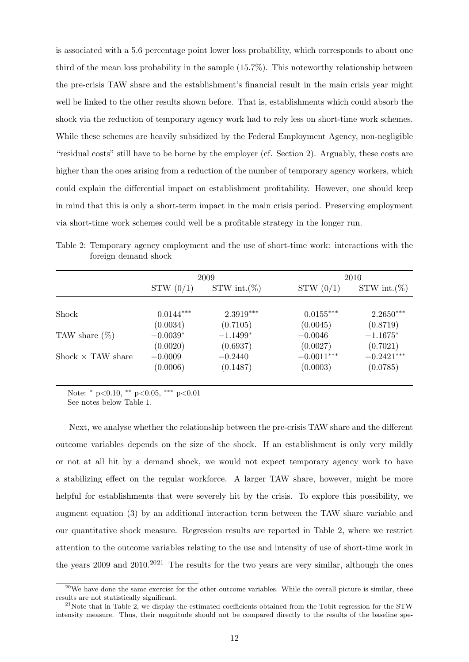is associated with a 5.6 percentage point lower loss probability, which corresponds to about one third of the mean loss probability in the sample (15.7%). This noteworthy relationship between the pre-crisis TAW share and the establishment's financial result in the main crisis year might well be linked to the other results shown before. That is, establishments which could absorb the shock via the reduction of temporary agency work had to rely less on short-time work schemes. While these schemes are heavily subsidized by the Federal Employment Agency, non-negligible "residual costs" still have to be borne by the employer (cf. Section [2\)](#page-4-0). Arguably, these costs are higher than the ones arising from a reduction of the number of temporary agency workers, which could explain the differential impact on establishment profitability. However, one should keep in mind that this is only a short-term impact in the main crisis period. Preserving employment via short-time work schemes could well be a profitable strategy in the longer run.

|                          | 2009        |                 |              | 2010            |  |
|--------------------------|-------------|-----------------|--------------|-----------------|--|
|                          | STW(0/1)    | STW int. $(\%)$ | STW(0/1)     | STW int. $(\%)$ |  |
|                          |             |                 |              |                 |  |
| Shock                    | $0.0144***$ | $2.3919***$     | $0.0155***$  | $2.2650***$     |  |
|                          | (0.0034)    | (0.7105)        | (0.0045)     | (0.8719)        |  |
| TAW share $(\%)$         | $-0.0039*$  | $-1.1499*$      | $-0.0046$    | $-1.1675*$      |  |
|                          | (0.0020)    | (0.6937)        | (0.0027)     | (0.7021)        |  |
| Shock $\times$ TAW share | $-0.0009$   | $-0.2440$       | $-0.0011***$ | $-0.2421***$    |  |
|                          | (0.0006)    | (0.1487)        | (0.0003)     | (0.0785)        |  |

<span id="page-14-0"></span>Table 2: Temporary agency employment and the use of short-time work: interactions with the foreign demand shock

Note: <sup>∗</sup> p<0.10, ∗∗ p<0.05, ∗∗∗ p<0.01

See notes below Table [1.](#page-13-0)

Next, we analyse whether the relationship between the pre-crisis TAW share and the different outcome variables depends on the size of the shock. If an establishment is only very mildly or not at all hit by a demand shock, we would not expect temporary agency work to have a stabilizing effect on the regular workforce. A larger TAW share, however, might be more helpful for establishments that were severely hit by the crisis. To explore this possibility, we augment equation [\(3\)](#page-9-3) by an additional interaction term between the TAW share variable and our quantitative shock measure. Regression results are reported in Table [2,](#page-14-0) where we restrict attention to the outcome variables relating to the use and intensity of use of short-time work in the years [20](#page-14-1)09 and  $2010^{2021}$  $2010^{2021}$  $2010^{2021}$  The results for the two years are very similar, although the ones

<span id="page-14-1"></span> $^{20}$ We have done the same exercise for the other outcome variables. While the overall picture is similar, these results are not statistically significant.

<span id="page-14-2"></span> $^{21}$ Note that in Table [2,](#page-14-0) we display the estimated coefficients obtained from the Tobit regression for the STW intensity measure. Thus, their magnitude should not be compared directly to the results of the baseline spe-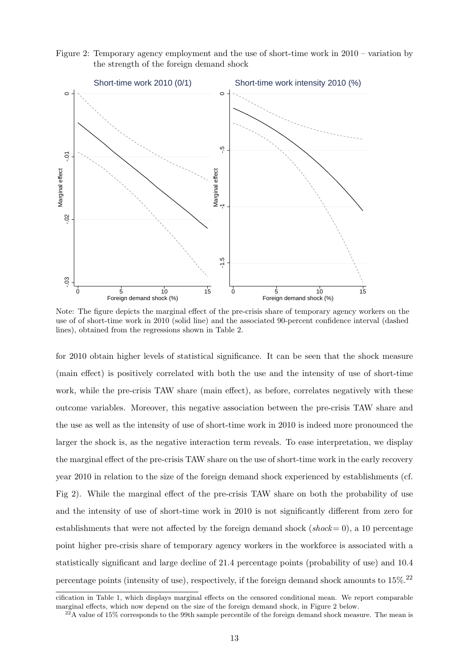<span id="page-15-0"></span>Figure 2: Temporary agency employment and the use of short-time work in 2010 – variation by the strength of the foreign demand shock



Note: The figure depicts the marginal effect of the pre-crisis share of temporary agency workers on the use of of short-time work in 2010 (solid line) and the associated 90-percent confidence interval (dashed lines), obtained from the regressions shown in Table [2.](#page-14-0)

for 2010 obtain higher levels of statistical significance. It can be seen that the shock measure (main effect) is positively correlated with both the use and the intensity of use of short-time work, while the pre-crisis TAW share (main effect), as before, correlates negatively with these outcome variables. Moreover, this negative association between the pre-crisis TAW share and the use as well as the intensity of use of short-time work in 2010 is indeed more pronounced the larger the shock is, as the negative interaction term reveals. To ease interpretation, we display the marginal effect of the pre-crisis TAW share on the use of short-time work in the early recovery year 2010 in relation to the size of the foreign demand shock experienced by establishments (cf. Fig [2\)](#page-15-0). While the marginal effect of the pre-crisis TAW share on both the probability of use and the intensity of use of short-time work in 2010 is not significantly different from zero for establishments that were not affected by the foreign demand shock ( $shock= 0$ ), a 10 percentage point higher pre-crisis share of temporary agency workers in the workforce is associated with a statistically significant and large decline of 21.4 percentage points (probability of use) and 10.4 percentage points (intensity of use), respectively, if the foreign demand shock amounts to  $15\%$ .<sup>[22](#page-15-1)</sup>

cification in Table [1,](#page-13-0) which displays marginal effects on the censored conditional mean. We report comparable marginal effects, which now depend on the size of the foreign demand shock, in Figure [2](#page-15-0) below.

<span id="page-15-1"></span> $^{22}$ A value of 15% corresponds to the 99th sample percentile of the foreign demand shock measure. The mean is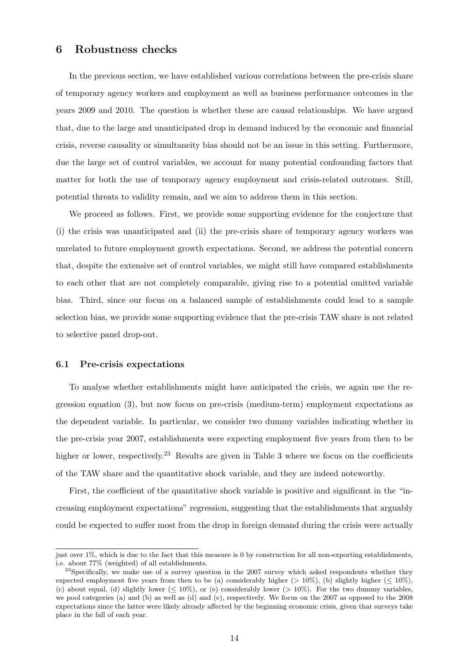#### <span id="page-16-0"></span>6 Robustness checks

In the previous section, we have established various correlations between the pre-crisis share of temporary agency workers and employment as well as business performance outcomes in the years 2009 and 2010. The question is whether these are causal relationships. We have argued that, due to the large and unanticipated drop in demand induced by the economic and financial crisis, reverse causality or simultaneity bias should not be an issue in this setting. Furthermore, due the large set of control variables, we account for many potential confounding factors that matter for both the use of temporary agency employment and crisis-related outcomes. Still, potential threats to validity remain, and we aim to address them in this section.

We proceed as follows. First, we provide some supporting evidence for the conjecture that (i) the crisis was unanticipated and (ii) the pre-crisis share of temporary agency workers was unrelated to future employment growth expectations. Second, we address the potential concern that, despite the extensive set of control variables, we might still have compared establishments to each other that are not completely comparable, giving rise to a potential omitted variable bias. Third, since our focus on a balanced sample of establishments could lead to a sample selection bias, we provide some supporting evidence that the pre-crisis TAW share is not related to selective panel drop-out.

#### 6.1 Pre-crisis expectations

To analyse whether establishments might have anticipated the crisis, we again use the regression equation [\(3\)](#page-9-3), but now focus on pre-crisis (medium-term) employment expectations as the dependent variable. In particular, we consider two dummy variables indicating whether in the pre-crisis year 2007, establishments were expecting employment five years from then to be higher or lower, respectively.<sup>[23](#page-16-1)</sup> Results are given in Table [3](#page-17-0) where we focus on the coefficients of the TAW share and the quantitative shock variable, and they are indeed noteworthy.

First, the coefficient of the quantitative shock variable is positive and significant in the "increasing employment expectations" regression, suggesting that the establishments that arguably could be expected to suffer most from the drop in foreign demand during the crisis were actually

just over 1%, which is due to the fact that this measure is 0 by construction for all non-exporting establishments, i.e. about 77% (weighted) of all establishments.

<span id="page-16-1"></span> $^{23}$ Specifically, we make use of a survey question in the 2007 survey which asked respondents whether they expected employment five years from then to be (a) considerably higher ( $> 10\%$ ), (b) slightly higher ( $\leq 10\%$ ), (c) about equal, (d) slightly lower ( $\leq 10\%$ ), or (e) considerably lower ( $> 10\%$ ). For the two dummy variables, we pool categories (a) and (b) as well as (d) and (e), respectively. We focus on the 2007 as opposed to the 2008 expectations since the latter were likely already affected by the beginning economic crisis, given that surveys take place in the fall of each year.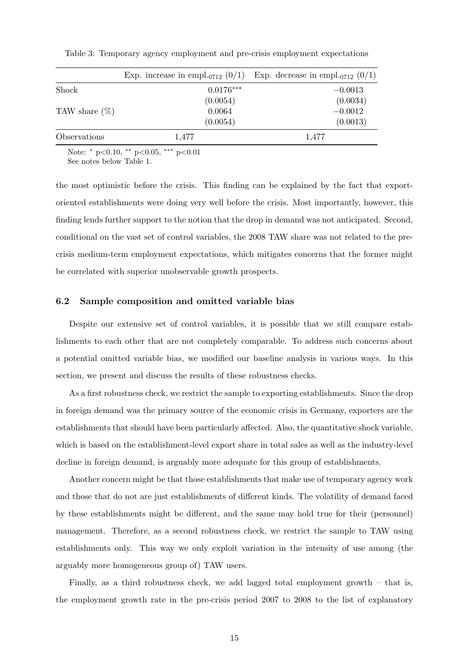|                  |             | Exp. increase in empl <sub>-0712</sub> (0/1) Exp. decrease in empl <sub>-0712</sub> (0/1) |
|------------------|-------------|-------------------------------------------------------------------------------------------|
| Shock            | $0.0176***$ | $-0.0013$                                                                                 |
|                  | (0.0054)    | (0.0034)                                                                                  |
| TAW share $(\%)$ | 0.0064      | $-0.0012$                                                                                 |
|                  | (0.0054)    | (0.0013)                                                                                  |
| Observations     | 1,477       | 1,477                                                                                     |

<span id="page-17-0"></span>Table 3: Temporary agency employment and pre-crisis employment expectations

Note: <sup>∗</sup> p<0.10, ∗∗ p<0.05, ∗∗∗ p<0.01 See notes below Table [1.](#page-13-0)

the most optimistic before the crisis. This finding can be explained by the fact that exportoriented establishments were doing very well before the crisis. Most importantly, however, this finding lends further support to the notion that the drop in demand was not anticipated. Second, conditional on the vast set of control variables, the 2008 TAW share was not related to the precrisis medium-term employment expectations, which mitigates concerns that the former might be correlated with superior unobservable growth prospects.

#### 6.2 Sample composition and omitted variable bias

Despite our extensive set of control variables, it is possible that we still compare establishments to each other that are not completely comparable. To address such concerns about a potential omitted variable bias, we modified our baseline analysis in various ways. In this section, we present and discuss the results of these robustness checks.

As a first robustness check, we restrict the sample to exporting establishments. Since the drop in foreign demand was the primary source of the economic crisis in Germany, exporters are the establishments that should have been particularly affected. Also, the quantitative shock variable, which is based on the establishment-level export share in total sales as well as the industry-level decline in foreign demand, is arguably more adequate for this group of establishments.

Another concern might be that those establishments that make use of temporary agency work and those that do not are just establishments of different kinds. The volatility of demand faced by these establishments might be different, and the same may hold true for their (personnel) management. Therefore, as a second robustness check, we restrict the sample to TAW using establishments only. This way we only exploit variation in the intensity of use among (the arguably more homogeneous group of) TAW users.

Finally, as a third robustness check, we add lagged total employment growth – that is, the employment growth rate in the pre-crisis period 2007 to 2008 to the list of explanatory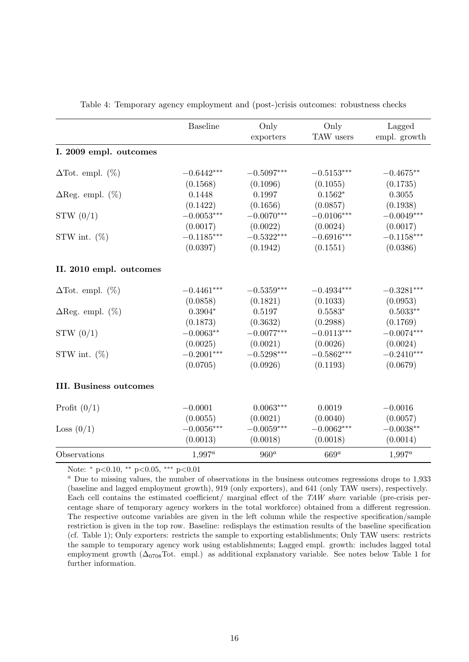<span id="page-18-0"></span>

|                               | <b>Baseline</b> | Only<br>exporters | Only<br>TAW users | Lagged<br>empl. growth |
|-------------------------------|-----------------|-------------------|-------------------|------------------------|
| I. 2009 empl. outcomes        |                 |                   |                   |                        |
| $\Delta$ Tot. empl. $(\%)$    | $-0.6442***$    | $-0.5097***$      | $-0.5153***$      | $-0.4675**$            |
|                               | (0.1568)        | (0.1096)          | (0.1055)          | (0.1735)               |
| $\Delta$ Reg. empl. $(\%)$    | 0.1448          | 0.1997            | $0.1562*$         | 0.3055                 |
|                               | (0.1422)        | (0.1656)          | (0.0857)          | (0.1938)               |
| STW(0/1)                      | $-0.0053***$    | $-0.0070***$      | $-0.0106***$      | $-0.0049***$           |
|                               | (0.0017)        | (0.0022)          | (0.0024)          | (0.0017)               |
| STW int. $(\%)$               | $-0.1185***$    | $-0.5322***$      | $-0.6916***$      | $-0.1158***$           |
|                               | (0.0397)        | (0.1942)          | (0.1551)          | (0.0386)               |
| II. 2010 empl. outcomes       |                 |                   |                   |                        |
| $\Delta$ Tot. empl. $(\%)$    | $-0.4461***$    | $-0.5359***$      | $-0.4934***$      | $-0.3281***$           |
|                               | (0.0858)        | (0.1821)          | (0.1033)          | (0.0953)               |
| $\Delta$ Reg. empl. $(\%)$    | $0.3904*$       | 0.5197            | $0.5583*$         | $0.5033**$             |
|                               | (0.1873)        | (0.3632)          | (0.2988)          | (0.1769)               |
| STW(0/1)                      | $-0.0063**$     | $-0.0077***$      | $-0.0113***$      | $-0.0074***$           |
|                               | (0.0025)        | (0.0021)          | (0.0026)          | (0.0024)               |
| STW int. $(\%)$               | $-0.2001***$    | $-0.5298***$      | $-0.5862***$      | $-0.2410***$           |
|                               | (0.0705)        | (0.0926)          | (0.1193)          | (0.0679)               |
| <b>III.</b> Business outcomes |                 |                   |                   |                        |
| Profit $(0/1)$                | $-0.0001$       | $0.0063***$       | 0.0019            | $-0.0016$              |
|                               | (0.0055)        | (0.0021)          | (0.0040)          | (0.0057)               |
| Loss $(0/1)$                  | $-0.0056***$    | $-0.0059***$      | $-0.0062***$      | $-0.0038**$            |
|                               | (0.0013)        | (0.0018)          | (0.0018)          | (0.0014)               |
| Observations                  | $1,997^a$       | $960^a$           | $669^a$           | $1,997^a$              |

Table 4: Temporary agency employment and (post-)crisis outcomes: robustness checks

Note: \* p<0.10, \*\* p<0.05, \*\*\* p<0.01

<sup>a</sup> Due to missing values, the number of observations in the business outcomes regressions drops to 1,933 (baseline and lagged employment growth), 919 (only exporters), and 641 (only TAW users), respectively. Each cell contains the estimated coefficient/ marginal effect of the TAW share variable (pre-crisis percentage share of temporary agency workers in the total workforce) obtained from a different regression. The respective outcome variables are given in the left column while the respective specification/sample restriction is given in the top row. Baseline: redisplays the estimation results of the baseline specification (cf. Table [1\)](#page-13-0); Only exporters: restricts the sample to exporting establishments; Only TAW users: restricts the sample to temporary agency work using establishments; Lagged empl. growth: includes lagged total employment growth  $(\Delta_{0708}Tot.$  empl.) as additional explanatory variable. See notes below Table [1](#page-13-0) for further information.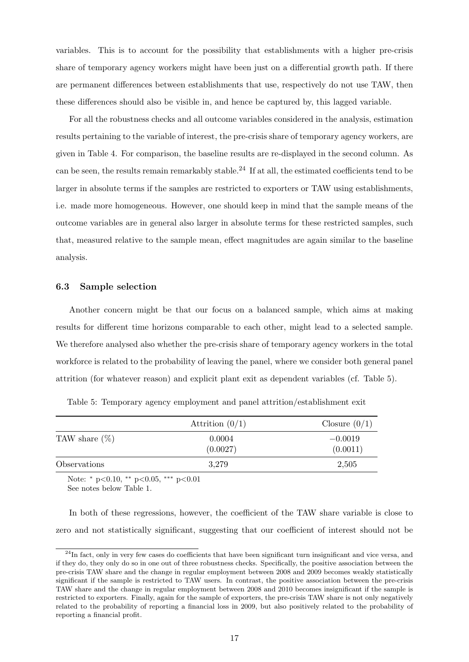variables. This is to account for the possibility that establishments with a higher pre-crisis share of temporary agency workers might have been just on a differential growth path. If there are permanent differences between establishments that use, respectively do not use TAW, then these differences should also be visible in, and hence be captured by, this lagged variable.

For all the robustness checks and all outcome variables considered in the analysis, estimation results pertaining to the variable of interest, the pre-crisis share of temporary agency workers, are given in Table [4.](#page-18-0) For comparison, the baseline results are re-displayed in the second column. As can be seen, the results remain remarkably stable.<sup>[24](#page-19-0)</sup> If at all, the estimated coefficients tend to be larger in absolute terms if the samples are restricted to exporters or TAW using establishments, i.e. made more homogeneous. However, one should keep in mind that the sample means of the outcome variables are in general also larger in absolute terms for these restricted samples, such that, measured relative to the sample mean, effect magnitudes are again similar to the baseline analysis.

#### 6.3 Sample selection

Another concern might be that our focus on a balanced sample, which aims at making results for different time horizons comparable to each other, might lead to a selected sample. We therefore analysed also whether the pre-crisis share of temporary agency workers in the total workforce is related to the probability of leaving the panel, where we consider both general panel attrition (for whatever reason) and explicit plant exit as dependent variables (cf. Table [5\)](#page-19-1).

|                     | Attrition $(0/1)$  | Closure $(0/1)$       |
|---------------------|--------------------|-----------------------|
| TAW share $(\%)$    | 0.0004<br>(0.0027) | $-0.0019$<br>(0.0011) |
| <i>Observations</i> | 3.279              | 2,505                 |

<span id="page-19-1"></span>Table 5: Temporary agency employment and panel attrition/establishment exit

Note: <sup>∗</sup> p<0.10, ∗∗ p<0.05, ∗∗∗ p<0.01

See notes below Table [1.](#page-13-0)

In both of these regressions, however, the coefficient of the TAW share variable is close to zero and not statistically significant, suggesting that our coefficient of interest should not be

<span id="page-19-0"></span> $24$ In fact, only in very few cases do coefficients that have been significant turn insignificant and vice versa, and if they do, they only do so in one out of three robustness checks. Specifically, the positive association between the pre-crisis TAW share and the change in regular employment between 2008 and 2009 becomes weakly statistically significant if the sample is restricted to TAW users. In contrast, the positive association between the pre-crisis TAW share and the change in regular employment between 2008 and 2010 becomes insignificant if the sample is restricted to exporters. Finally, again for the sample of exporters, the pre-crisis TAW share is not only negatively related to the probability of reporting a financial loss in 2009, but also positively related to the probability of reporting a financial profit.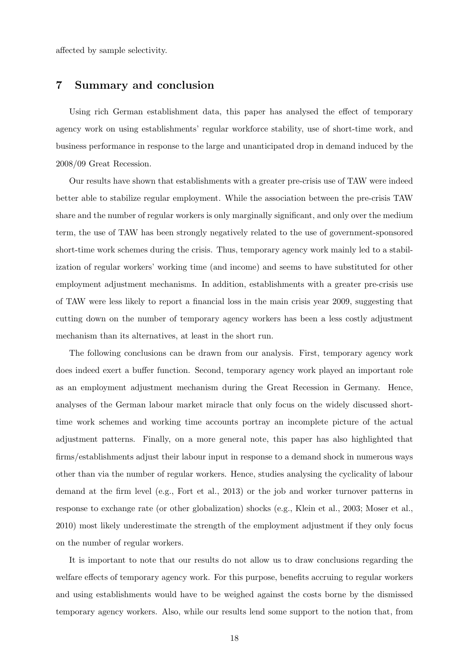affected by sample selectivity.

#### <span id="page-20-0"></span>7 Summary and conclusion

Using rich German establishment data, this paper has analysed the effect of temporary agency work on using establishments' regular workforce stability, use of short-time work, and business performance in response to the large and unanticipated drop in demand induced by the 2008/09 Great Recession.

Our results have shown that establishments with a greater pre-crisis use of TAW were indeed better able to stabilize regular employment. While the association between the pre-crisis TAW share and the number of regular workers is only marginally significant, and only over the medium term, the use of TAW has been strongly negatively related to the use of government-sponsored short-time work schemes during the crisis. Thus, temporary agency work mainly led to a stabilization of regular workers' working time (and income) and seems to have substituted for other employment adjustment mechanisms. In addition, establishments with a greater pre-crisis use of TAW were less likely to report a financial loss in the main crisis year 2009, suggesting that cutting down on the number of temporary agency workers has been a less costly adjustment mechanism than its alternatives, at least in the short run.

The following conclusions can be drawn from our analysis. First, temporary agency work does indeed exert a buffer function. Second, temporary agency work played an important role as an employment adjustment mechanism during the Great Recession in Germany. Hence, analyses of the German labour market miracle that only focus on the widely discussed shorttime work schemes and working time accounts portray an incomplete picture of the actual adjustment patterns. Finally, on a more general note, this paper has also highlighted that firms/establishments adjust their labour input in response to a demand shock in numerous ways other than via the number of regular workers. Hence, studies analysing the cyclicality of labour demand at the firm level (e.g., [Fort et al., 2013\)](#page-24-13) or the job and worker turnover patterns in response to exchange rate (or other globalization) shocks (e.g., [Klein et al., 2003;](#page-24-14) [Moser et al.,](#page-24-15) [2010\)](#page-24-15) most likely underestimate the strength of the employment adjustment if they only focus on the number of regular workers.

It is important to note that our results do not allow us to draw conclusions regarding the welfare effects of temporary agency work. For this purpose, benefits accruing to regular workers and using establishments would have to be weighed against the costs borne by the dismissed temporary agency workers. Also, while our results lend some support to the notion that, from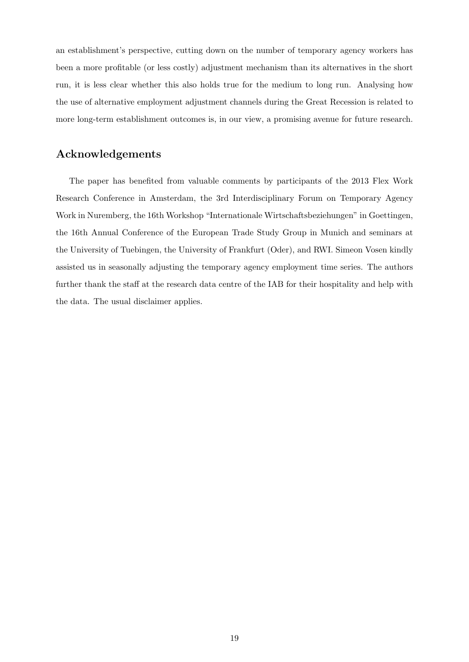an establishment's perspective, cutting down on the number of temporary agency workers has been a more profitable (or less costly) adjustment mechanism than its alternatives in the short run, it is less clear whether this also holds true for the medium to long run. Analysing how the use of alternative employment adjustment channels during the Great Recession is related to more long-term establishment outcomes is, in our view, a promising avenue for future research.

#### Acknowledgements

The paper has benefited from valuable comments by participants of the 2013 Flex Work Research Conference in Amsterdam, the 3rd Interdisciplinary Forum on Temporary Agency Work in Nuremberg, the 16th Workshop "Internationale Wirtschaftsbeziehungen" in Goettingen, the 16th Annual Conference of the European Trade Study Group in Munich and seminars at the University of Tuebingen, the University of Frankfurt (Oder), and RWI. Simeon Vosen kindly assisted us in seasonally adjusting the temporary agency employment time series. The authors further thank the staff at the research data centre of the IAB for their hospitality and help with the data. The usual disclaimer applies.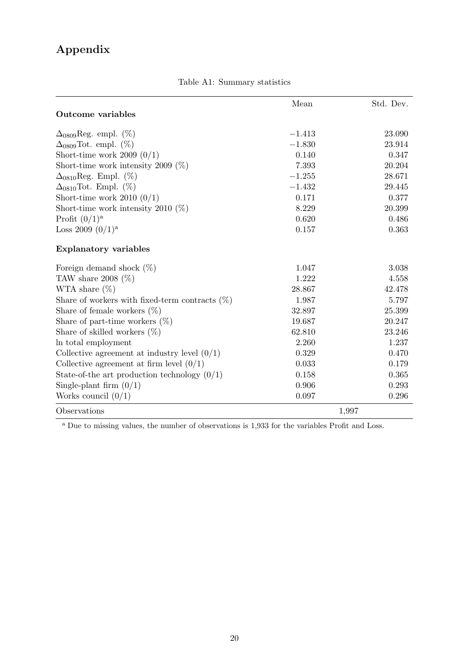# Appendix

<span id="page-22-0"></span>

|                                                   | Mean     | Std. Dev. |
|---------------------------------------------------|----------|-----------|
| Outcome variables                                 |          |           |
| $\Delta_{0809}$ Reg. empl. (%)                    | $-1.413$ | 23.090    |
| $\Delta_{0809}$ Tot. empl. $(\%)$                 | $-1.830$ | 23.914    |
| Short-time work 2009 $(0/1)$                      | 0.140    | 0.347     |
| Short-time work intensity 2009 $(\%)$             | 7.393    | 20.204    |
| $\Delta_{0810}$ Reg. Empl. (%)                    | $-1.255$ | 28.671    |
| $\Delta_{0810}$ Tot. Empl. $(\%)$                 | $-1.432$ | 29.445    |
| Short-time work 2010 $(0/1)$                      | 0.171    | 0.377     |
| Short-time work intensity 2010 $(\%)$             | 8.229    | 20.399    |
| Profit $(0/1)^a$                                  | 0.620    | 0.486     |
| Loss 2009 $(0/1)^a$                               | 0.157    | 0.363     |
| <b>Explanatory variables</b>                      |          |           |
| Foreign demand shock $(\%)$                       | 1.047    | 3.038     |
| TAW share 2008 $(\%)$                             | 1.222    | 4.558     |
| WTA share $(\%)$                                  | 28.867   | 42.478    |
| Share of workers with fixed-term contracts $(\%)$ | 1.987    | 5.797     |
| Share of female workers $(\%)$                    | 32.897   | 25.399    |
| Share of part-time workers $(\%)$                 | 19.687   | 20.247    |
| Share of skilled workers $(\%)$                   | 62.810   | 23.246    |
| In total employment                               | 2.260    | 1.237     |
| Collective agreement at industry level $(0/1)$    | 0.329    | 0.470     |
| Collective agreement at firm level $(0/1)$        | 0.033    | 0.179     |
| State-of-the art production technology $(0/1)$    | 0.158    | 0.365     |
| Single-plant firm $(0/1)$                         | 0.906    | 0.293     |
| Works council $(0/1)$                             | 0.097    | 0.296     |
| Observations                                      | 1,997    |           |

Table A1: Summary statistics

<sup>a</sup> Due to missing values, the number of observations is 1,933 for the variables Profit and Loss.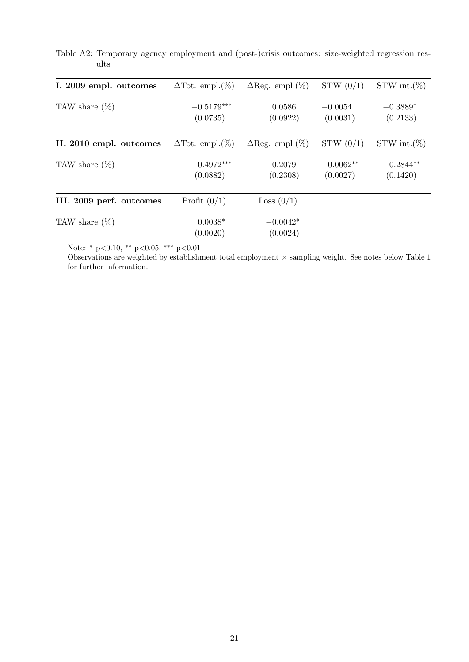| I. 2009 empl. outcomes   | $\Delta$ Tot. empl. $(\%)$ | $\Delta$ Reg. empl. $(\%)$ | STW(0/1)                | STW int. $(\%)$         |
|--------------------------|----------------------------|----------------------------|-------------------------|-------------------------|
| TAW share $(\%)$         | $-0.5179***$<br>(0.0735)   | 0.0586<br>(0.0922)         | $-0.0054$<br>(0.0031)   | $-0.3889*$<br>(0.2133)  |
| II. 2010 empl. outcomes  | $\Delta$ Tot. empl. $(\%)$ | $\Delta$ Reg. empl. $(\%)$ | STW(0/1)                | $STW$ int. $(\%)$       |
| TAW share $(\%)$         | $-0.4972***$<br>(0.0882)   | 0.2079<br>(0.2308)         | $-0.0062**$<br>(0.0027) | $-0.2844**$<br>(0.1420) |
| III. 2009 perf. outcomes | Profit $(0/1)$             | Loss $(0/1)$               |                         |                         |
| TAW share $(\%)$         | $0.0038*$<br>(0.0020)      | $-0.0042*$<br>(0.0024)     |                         |                         |

<span id="page-23-0"></span>Table A2: Temporary agency employment and (post-)crisis outcomes: size-weighted regression results

Note: <sup>∗</sup> p<0.10, ∗∗ p<0.05, ∗∗∗ p<0.01

Observations are weighted by establishment total employment  $\times$  sampling weight. See notes below Table [1](#page-13-0) for further information.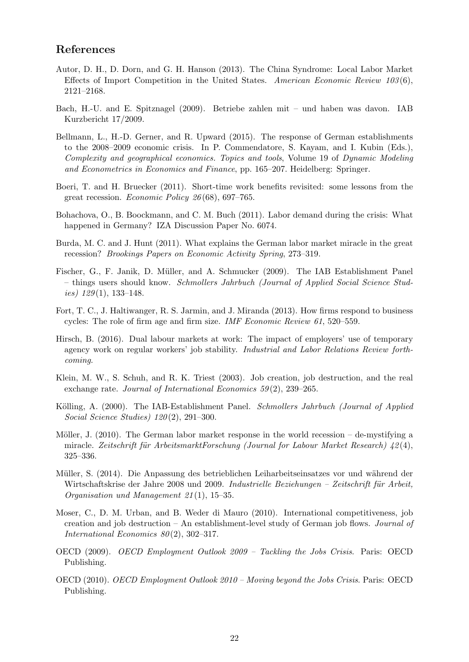#### References

- <span id="page-24-12"></span>Autor, D. H., D. Dorn, and G. H. Hanson (2013). The China Syndrome: Local Labor Market Effects of Import Competition in the United States. American Economic Review  $103(6)$ , 2121–2168.
- <span id="page-24-8"></span>Bach, H.-U. and E. Spitznagel (2009). Betriebe zahlen mit – und haben was davon. IAB Kurzbericht 17/2009.
- <span id="page-24-0"></span>Bellmann, L., H.-D. Gerner, and R. Upward (2015). The response of German establishments to the 2008–2009 economic crisis. In P. Commendatore, S. Kayam, and I. Kubin (Eds.), Complexity and geographical economics. Topics and tools, Volume 19 of Dynamic Modeling and Econometrics in Economics and Finance, pp. 165–207. Heidelberg: Springer.
- <span id="page-24-2"></span>Boeri, T. and H. Bruecker (2011). Short-time work benefits revisited: some lessons from the great recession. Economic Policy 26 (68), 697–765.
- <span id="page-24-3"></span>Bohachova, O., B. Boockmann, and C. M. Buch (2011). Labor demand during the crisis: What happened in Germany? IZA Discussion Paper No. 6074.
- <span id="page-24-1"></span>Burda, M. C. and J. Hunt (2011). What explains the German labor market miracle in the great recession? Brookings Papers on Economic Activity Spring, 273–319.
- <span id="page-24-11"></span>Fischer, G., F. Janik, D. Müller, and A. Schmucker (2009). The IAB Establishment Panel – things users should know. Schmollers Jahrbuch (Journal of Applied Social Science Stud*ies*)  $129(1)$ , 133–148.
- <span id="page-24-13"></span>Fort, T. C., J. Haltiwanger, R. S. Jarmin, and J. Miranda (2013). How firms respond to business cycles: The role of firm age and firm size. IMF Economic Review 61, 520–559.
- <span id="page-24-7"></span>Hirsch, B. (2016). Dual labour markets at work: The impact of employers' use of temporary agency work on regular workers' job stability. Industrial and Labor Relations Review forthcoming.
- <span id="page-24-14"></span>Klein, M. W., S. Schuh, and R. K. Triest (2003). Job creation, job destruction, and the real exchange rate. Journal of International Economics 59(2), 239–265.
- <span id="page-24-10"></span>Kölling, A. (2000). The IAB-Establishment Panel. Schmollers Jahrbuch (Journal of Applied Social Science Studies) 120(2), 291-300.
- <span id="page-24-4"></span>Möller, J.  $(2010)$ . The German labor market response in the world recession – de-mystifying a miracle. Zeitschrift für ArbeitsmarktForschung (Journal for Labour Market Research)  $\frac{1}{2}(4)$ , 325–336.
- <span id="page-24-9"></span>Müller, S. (2014). Die Anpassung des betrieblichen Leiharbeitseinsatzes vor und während der Wirtschaftskrise der Jahre 2008 und 2009. Industrielle Beziehungen – Zeitschrift für Arbeit, Organisation und Management 21 (1), 15–35.
- <span id="page-24-15"></span>Moser, C., D. M. Urban, and B. Weder di Mauro (2010). International competitiveness, job creation and job destruction – An establishment-level study of German job flows. Journal of International Economics  $80(2)$ , 302-317.
- <span id="page-24-5"></span>OECD (2009). OECD Employment Outlook 2009 – Tackling the Jobs Crisis. Paris: OECD Publishing.
- <span id="page-24-6"></span>OECD (2010). OECD Employment Outlook 2010 – Moving beyond the Jobs Crisis. Paris: OECD Publishing.